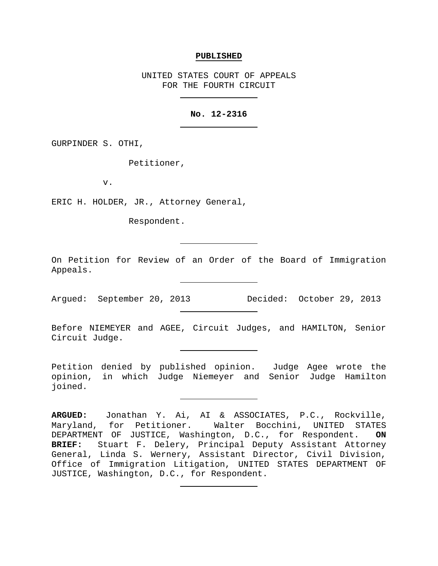#### **PUBLISHED**

UNITED STATES COURT OF APPEALS FOR THE FOURTH CIRCUIT

# **No. 12-2316**

GURPINDER S. OTHI,

Petitioner,

v.

ERIC H. HOLDER, JR., Attorney General,

Respondent.

On Petition for Review of an Order of the Board of Immigration Appeals.

Argued: September 20, 2013 Decided: October 29, 2013

Before NIEMEYER and AGEE, Circuit Judges, and HAMILTON, Senior Circuit Judge.

Petition denied by published opinion. Judge Agee wrote the opinion, in which Judge Niemeyer and Senior Judge Hamilton joined.

**ARGUED:** Jonathan Y. Ai, AI & ASSOCIATES, P.C., Rockville, Maryland, for Petitioner. Walter Bocchini, UNITED STATES DEPARTMENT OF JUSTICE, Washington, D.C., for Respondent. **ON BRIEF:** Stuart F. Delery, Principal Deputy Assistant Attorney General, Linda S. Wernery, Assistant Director, Civil Division, Office of Immigration Litigation, UNITED STATES DEPARTMENT OF JUSTICE, Washington, D.C., for Respondent.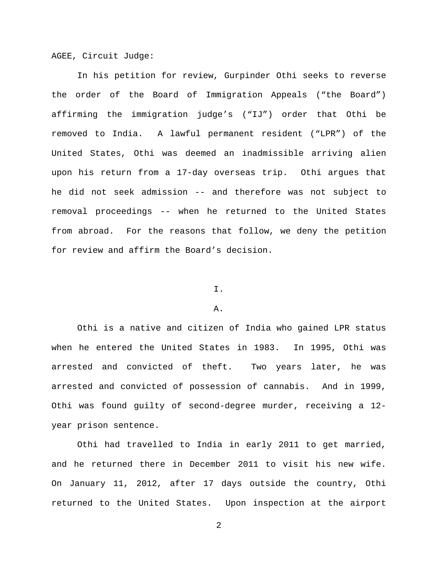AGEE, Circuit Judge:

In his petition for review, Gurpinder Othi seeks to reverse the order of the Board of Immigration Appeals ("the Board") affirming the immigration judge's ("IJ") order that Othi be removed to India. A lawful permanent resident ("LPR") of the United States, Othi was deemed an inadmissible arriving alien upon his return from a 17-day overseas trip. Othi argues that he did not seek admission -- and therefore was not subject to removal proceedings -- when he returned to the United States from abroad. For the reasons that follow, we deny the petition for review and affirm the Board's decision.

## I.

## A.

Othi is a native and citizen of India who gained LPR status when he entered the United States in 1983. In 1995, Othi was arrested and convicted of theft. Two years later, he was arrested and convicted of possession of cannabis. And in 1999, Othi was found guilty of second-degree murder, receiving a 12 year prison sentence.

Othi had travelled to India in early 2011 to get married, and he returned there in December 2011 to visit his new wife. On January 11, 2012, after 17 days outside the country, Othi returned to the United States. Upon inspection at the airport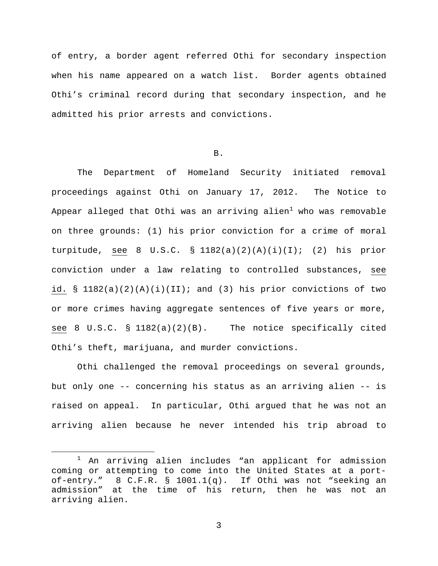of entry, a border agent referred Othi for secondary inspection when his name appeared on a watch list. Border agents obtained Othi's criminal record during that secondary inspection, and he admitted his prior arrests and convictions.

B.

The Department of Homeland Security initiated removal proceedings against Othi on January 17, 2012. The Notice to Appear alleged that Othi was an arriving alien $^1$  $^1$  who was removable on three grounds: (1) his prior conviction for a crime of moral turpitude, see 8 U.S.C. § 1182(a)(2)(A)(i)(I); (2) his prior conviction under a law relating to controlled substances, see id.  $\S$  1182(a)(2)(A)(i)(II); and (3) his prior convictions of two or more crimes having aggregate sentences of five years or more, see 8 U.S.C.  $\S$  1182(a)(2)(B). The notice specifically cited Othi's theft, marijuana, and murder convictions.

Othi challenged the removal proceedings on several grounds, but only one -- concerning his status as an arriving alien -- is raised on appeal. In particular, Othi argued that he was not an arriving alien because he never intended his trip abroad to

<span id="page-2-0"></span> <sup>1</sup> An arriving alien includes "an applicant for admission coming or attempting to come into the United States at a portof-entry." 8 C.F.R. § 1001.1(q). If Othi was not "seeking an admission" at the time of his return, then he was not an arriving alien.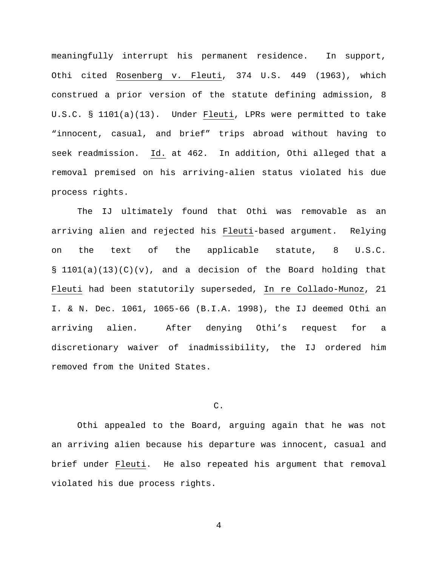meaningfully interrupt his permanent residence. In support, Othi cited Rosenberg v. Fleuti, 374 U.S. 449 (1963), which construed a prior version of the statute defining admission, 8 U.S.C. § 1101(a)(13). Under Fleuti, LPRs were permitted to take "innocent, casual, and brief" trips abroad without having to seek readmission. Id. at 462. In addition, Othi alleged that a removal premised on his arriving-alien status violated his due process rights.

The IJ ultimately found that Othi was removable as an arriving alien and rejected his Fleuti-based argument. Relying on the text of the applicable statute, 8 U.S.C.  $\S$  1101(a)(13)(C)(v), and a decision of the Board holding that Fleuti had been statutorily superseded, In re Collado-Munoz, 21 I. & N. Dec. 1061, 1065-66 (B.I.A. 1998), the IJ deemed Othi an arriving alien. After denying Othi's request for a discretionary waiver of inadmissibility, the IJ ordered him removed from the United States.

# C.

Othi appealed to the Board, arguing again that he was not an arriving alien because his departure was innocent, casual and brief under Fleuti. He also repeated his argument that removal violated his due process rights.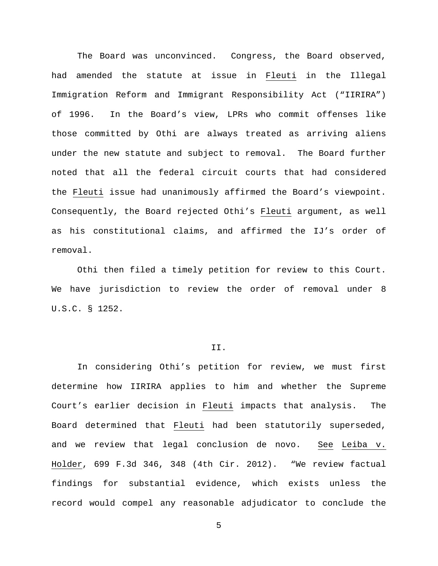The Board was unconvinced. Congress, the Board observed, had amended the statute at issue in Fleuti in the Illegal Immigration Reform and Immigrant Responsibility Act ("IIRIRA") of 1996. In the Board's view, LPRs who commit offenses like those committed by Othi are always treated as arriving aliens under the new statute and subject to removal. The Board further noted that all the federal circuit courts that had considered the Fleuti issue had unanimously affirmed the Board's viewpoint. Consequently, the Board rejected Othi's Fleuti argument, as well as his constitutional claims, and affirmed the IJ's order of removal.

Othi then filed a timely petition for review to this Court. We have jurisdiction to review the order of removal under 8 U.S.C. § 1252.

### II.

In considering Othi's petition for review, we must first determine how IIRIRA applies to him and whether the Supreme Court's earlier decision in Fleuti impacts that analysis. The Board determined that Fleuti had been statutorily superseded, and we review that legal conclusion de novo. See Leiba v. Holder, 699 F.3d 346, 348 (4th Cir. 2012). "We review factual findings for substantial evidence, which exists unless the record would compel any reasonable adjudicator to conclude the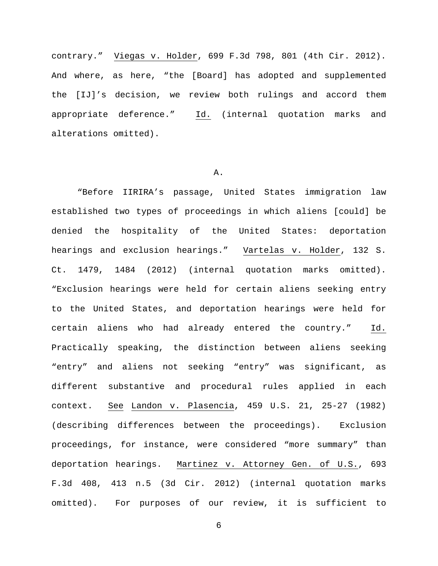contrary." Viegas v. Holder, 699 F.3d 798, 801 (4th Cir. 2012). And where, as here, "the [Board] has adopted and supplemented the [IJ]'s decision, we review both rulings and accord them appropriate deference."  $\underline{Id.}$  (internal quotation marks and alterations omitted).

### A.

"Before IIRIRA's passage, United States immigration law established two types of proceedings in which aliens [could] be denied the hospitality of the United States: deportation hearings and exclusion hearings." Vartelas v. Holder, 132 S. Ct. 1479, 1484 (2012) (internal quotation marks omitted). "Exclusion hearings were held for certain aliens seeking entry to the United States, and deportation hearings were held for certain aliens who had already entered the country." Id. Practically speaking, the distinction between aliens seeking "entry" and aliens not seeking "entry" was significant, as different substantive and procedural rules applied in each context. See Landon v. Plasencia, 459 U.S. 21, 25-27 (1982) (describing differences between the proceedings). Exclusion proceedings, for instance, were considered "more summary" than deportation hearings. Martinez v. Attorney Gen. of U.S., 693 F.3d 408, 413 n.5 (3d Cir. 2012) (internal quotation marks omitted). For purposes of our review, it is sufficient to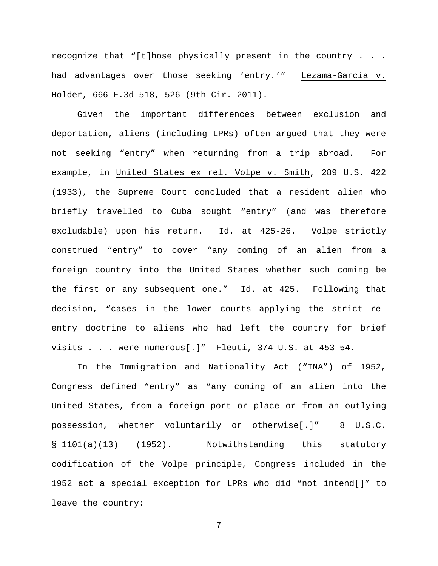recognize that "[t]hose physically present in the country . . . had advantages over those seeking 'entry.'" Lezama-Garcia v. Holder, 666 F.3d 518, 526 (9th Cir. 2011).

Given the important differences between exclusion and deportation, aliens (including LPRs) often argued that they were not seeking "entry" when returning from a trip abroad. For example, in United States ex rel. Volpe v. Smith, 289 U.S. 422 (1933), the Supreme Court concluded that a resident alien who briefly travelled to Cuba sought "entry" (and was therefore excludable) upon his return. Id. at 425-26. Volpe strictly construed "entry" to cover "any coming of an alien from a foreign country into the United States whether such coming be the first or any subsequent one." Id. at 425. Following that decision, "cases in the lower courts applying the strict reentry doctrine to aliens who had left the country for brief visits . . . were numerous[.]" Fleuti, 374 U.S. at 453-54.

In the Immigration and Nationality Act ("INA") of 1952, Congress defined "entry" as "any coming of an alien into the United States, from a foreign port or place or from an outlying possession, whether voluntarily or otherwise[.]" 8 U.S.C. § 1101(a)(13) (1952). Notwithstanding this statutory codification of the Volpe principle, Congress included in the 1952 act a special exception for LPRs who did "not intend[]" to leave the country: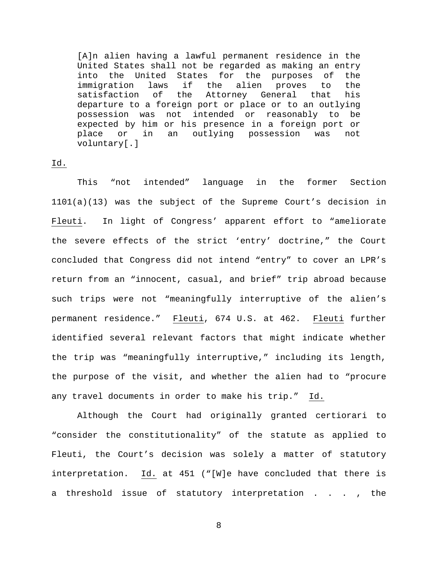[A]n alien having a lawful permanent residence in the United States shall not be regarded as making an entry into the United States for the purposes of the<br>immigration laws if the alien proves to the immigration laws if the alien proves to the<br>satisfaction of the Attorney General that his Attorney General that departure to a foreign port or place or to an outlying possession was not intended or reasonably to be expected by him or his presence in a foreign port or<br>place or in an outlying possession was not place or in an outlying possession was not voluntary[.]

# Id.

This "not intended" language in the former Section 1101(a)(13) was the subject of the Supreme Court's decision in Fleuti. In light of Congress' apparent effort to "ameliorate the severe effects of the strict 'entry' doctrine," the Court concluded that Congress did not intend "entry" to cover an LPR's return from an "innocent, casual, and brief" trip abroad because such trips were not "meaningfully interruptive of the alien's permanent residence." Fleuti, 674 U.S. at 462. Fleuti further identified several relevant factors that might indicate whether the trip was "meaningfully interruptive," including its length, the purpose of the visit, and whether the alien had to "procure any travel documents in order to make his trip." Id.

Although the Court had originally granted certiorari to "consider the constitutionality" of the statute as applied to Fleuti, the Court's decision was solely a matter of statutory interpretation. Id. at 451 ("[W]e have concluded that there is a threshold issue of statutory interpretation . . . , the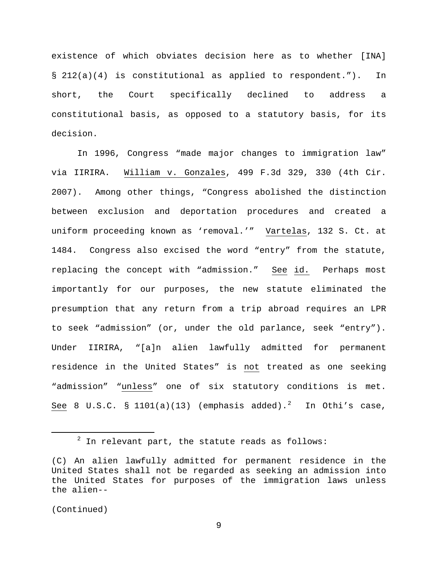existence of which obviates decision here as to whether [INA] § 212(a)(4) is constitutional as applied to respondent."). In short, the Court specifically declined to address a constitutional basis, as opposed to a statutory basis, for its decision.

In 1996, Congress "made major changes to immigration law" via IIRIRA. William v. Gonzales, 499 F.3d 329, 330 (4th Cir. 2007). Among other things, "Congress abolished the distinction between exclusion and deportation procedures and created a uniform proceeding known as 'removal.'" Vartelas, 132 S. Ct. at 1484. Congress also excised the word "entry" from the statute, replacing the concept with "admission." See id. Perhaps most importantly for our purposes, the new statute eliminated the presumption that any return from a trip abroad requires an LPR to seek "admission" (or, under the old parlance, seek "entry"). Under IIRIRA, "[a]n alien lawfully admitted for permanent residence in the United States" is not treated as one seeking "admission" "unless" one of six statutory conditions is met. See 8 U.S.C. § 1101(a)(13) (emphasis added).<sup>[2](#page-8-0)</sup> In Othi's case,

 $2$  In relevant part, the statute reads as follows:

<span id="page-8-0"></span><sup>(</sup>C) An alien lawfully admitted for permanent residence in the United States shall not be regarded as seeking an admission into the United States for purposes of the immigration laws unless the alien--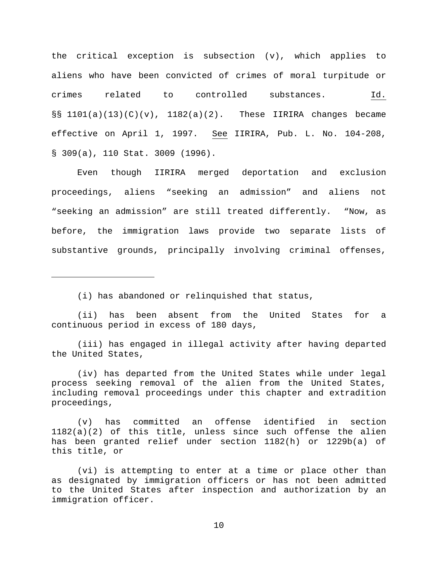the critical exception is subsection (v), which applies to aliens who have been convicted of crimes of moral turpitude or crimes related to controlled substances. Id.  $\S$ § 1101(a)(13)(C)(v), 1182(a)(2). These IIRIRA changes became effective on April 1, 1997. See IIRIRA, Pub. L. No. 104-208, § 309(a), 110 Stat. 3009 (1996).

Even though IIRIRA merged deportation and exclusion proceedings, aliens "seeking an admission" and aliens not "seeking an admission" are still treated differently. "Now, as before, the immigration laws provide two separate lists of substantive grounds, principally involving criminal offenses,

(i) has abandoned or relinquished that status,

Ĩ.

(ii) has been absent from the United States for a continuous period in excess of 180 days,

(iii) has engaged in illegal activity after having departed the United States,

(iv) has departed from the United States while under legal process seeking removal of the alien from the United States, including removal proceedings under this chapter and extradition proceedings,

(v) has committed an offense identified in section  $1182(a)(2)$  of this title, unless since such offense the alien has been granted relief under section 1182(h) or 1229b(a) of this title, or

(vi) is attempting to enter at a time or place other than as designated by immigration officers or has not been admitted to the United States after inspection and authorization by an immigration officer.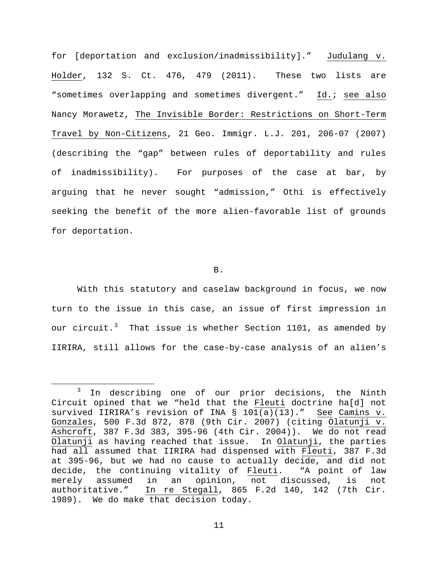for [deportation and exclusion/inadmissibility]." Judulang v. Holder, 132 S. Ct. 476, 479 (2011). These two lists are "sometimes overlapping and sometimes divergent." Id.; see also Nancy Morawetz, The Invisible Border: Restrictions on Short-Term Travel by Non-Citizens, 21 Geo. Immigr. L.J. 201, 206-07 (2007) (describing the "gap" between rules of deportability and rules of inadmissibility). For purposes of the case at bar, by arguing that he never sought "admission," Othi is effectively seeking the benefit of the more alien-favorable list of grounds for deportation.

B.

With this statutory and caselaw background in focus, we now turn to the issue in this case, an issue of first impression in our circuit.<sup>[3](#page-10-0)</sup> That issue is whether Section 1101, as amended by IIRIRA, still allows for the case-by-case analysis of an alien's

<span id="page-10-0"></span><sup>&</sup>lt;sup>3</sup> In describing one of our prior decisions, the Ninth Circuit opined that we "held that the Fleuti doctrine ha[d] not survived IIRIRA's revision of INA § 101(a)(13)." See Camins v. Gonzales, 500 F.3d 872, 878 (9th Cir. 2007) (citing Olatunji v. Ashcroft, 387 F.3d 383, 395-96 (4th Cir. 2004)). We do not read Olatunji as having reached that issue. In Olatunji, the parties had all assumed that IIRIRA had dispensed with Fleuti, 387 F.3d at 395-96, but we had no cause to actually decide, and did not decide, the continuing vitality of Fleuti. "A point of law merely assumed in an opinion, not discussed, is not authoritative." In re Stegall, 865 F.2d 140, 142 (7th Cir. 1989). We do make that decision today.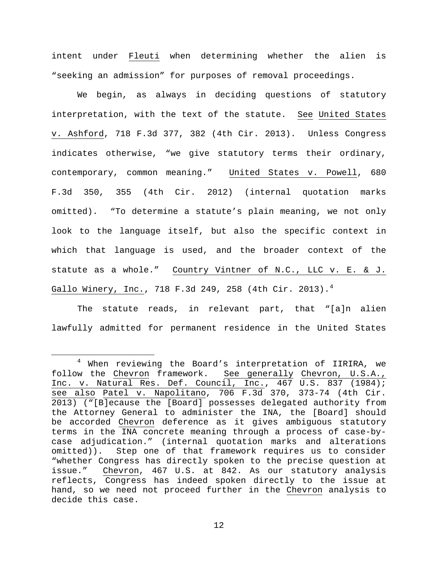intent under Fleuti when determining whether the alien is "seeking an admission" for purposes of removal proceedings.

We begin, as always in deciding questions of statutory interpretation, with the text of the statute. See United States v. Ashford, 718 F.3d 377, 382 (4th Cir. 2013). Unless Congress indicates otherwise, "we give statutory terms their ordinary, contemporary, common meaning." United States v. Powell, 680 F.3d 350, 355 (4th Cir. 2012) (internal quotation marks omitted). "To determine a statute's plain meaning, we not only look to the language itself, but also the specific context in which that language is used, and the broader context of the statute as a whole." Country Vintner of N.C., LLC v. E. & J. Gallo Winery, Inc., 718 F.3d 2[4](#page-11-0)9, 258 (4th Cir. 2013).<sup>4</sup>

The statute reads, in relevant part, that "[a]n alien lawfully admitted for permanent residence in the United States

<span id="page-11-0"></span><sup>&</sup>lt;sup>4</sup> When reviewing the Board's interpretation of IIRIRA, we follow the Chevron framework. See generally Chevron, U.S.A., Inc. v. Natural Res. Def. Council, Inc., 467 U.S. 837 (1984); see also Patel v. Napolitano, 706 F.3d 370, 373-74 (4th Cir. 2013) ("[B]ecause the [Board] possesses delegated authority from the Attorney General to administer the INA, the [Board] should be accorded Chevron deference as it gives ambiguous statutory terms in the INA concrete meaning through a process of case-bycase adjudication." (internal quotation marks and alterations omitted)). Step one of that framework requires us to consider "whether Congress has directly spoken to the precise question at issue." Chevron, 467 U.S. at 842. As our statutory analysis reflects, Congress has indeed spoken directly to the issue at hand, so we need not proceed further in the Chevron analysis to decide this case.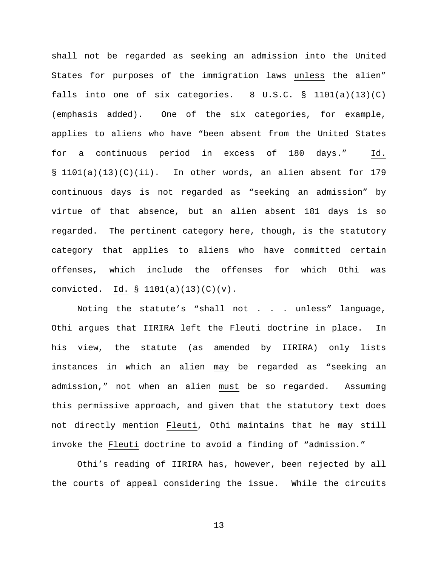shall not be regarded as seeking an admission into the United States for purposes of the immigration laws unless the alien" falls into one of six categories. 8 U.S.C. § 1101(a)(13)(C) (emphasis added). One of the six categories, for example, applies to aliens who have "been absent from the United States for a continuous period in excess of 180 days." Id. § 1101(a)(13)(C)(ii). In other words, an alien absent for 179 continuous days is not regarded as "seeking an admission" by virtue of that absence, but an alien absent 181 days is so regarded. The pertinent category here, though, is the statutory category that applies to aliens who have committed certain offenses, which include the offenses for which Othi was convicted. Id.  $\frac{101}{a}(a)(13)(c)(v)$ .

Noting the statute's "shall not . . . unless" language, Othi argues that IIRIRA left the Fleuti doctrine in place. In his view, the statute (as amended by IIRIRA) only lists instances in which an alien may be regarded as "seeking an admission," not when an alien must be so regarded. Assuming this permissive approach, and given that the statutory text does not directly mention Fleuti, Othi maintains that he may still invoke the Fleuti doctrine to avoid a finding of "admission."

Othi's reading of IIRIRA has, however, been rejected by all the courts of appeal considering the issue. While the circuits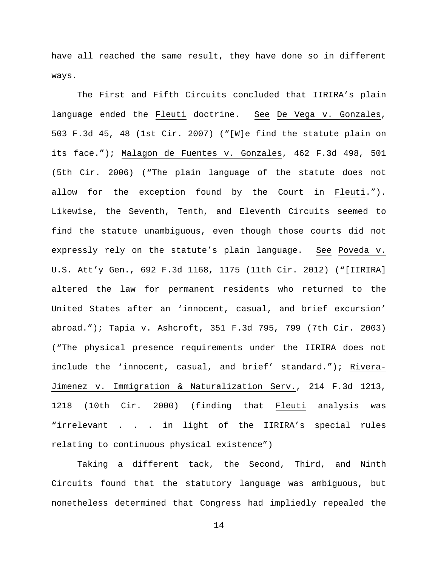have all reached the same result, they have done so in different ways.

The First and Fifth Circuits concluded that IIRIRA's plain language ended the Fleuti doctrine. See De Vega v. Gonzales, 503 F.3d 45, 48 (1st Cir. 2007) ("[W]e find the statute plain on its face."); Malagon de Fuentes v. Gonzales, 462 F.3d 498, 501 (5th Cir. 2006) ("The plain language of the statute does not allow for the exception found by the Court in Fleuti."). Likewise, the Seventh, Tenth, and Eleventh Circuits seemed to find the statute unambiguous, even though those courts did not expressly rely on the statute's plain language. See Poveda v. U.S. Att'y Gen., 692 F.3d 1168, 1175 (11th Cir. 2012) ("[IIRIRA] altered the law for permanent residents who returned to the United States after an 'innocent, casual, and brief excursion' abroad."); Tapia v. Ashcroft, 351 F.3d 795, 799 (7th Cir. 2003) ("The physical presence requirements under the IIRIRA does not include the 'innocent, casual, and brief' standard."); Rivera-Jimenez v. Immigration & Naturalization Serv., 214 F.3d 1213, 1218 (10th Cir. 2000) (finding that Fleuti analysis was "irrelevant . . . in light of the IIRIRA's special rules relating to continuous physical existence")

Taking a different tack, the Second, Third, and Ninth Circuits found that the statutory language was ambiguous, but nonetheless determined that Congress had impliedly repealed the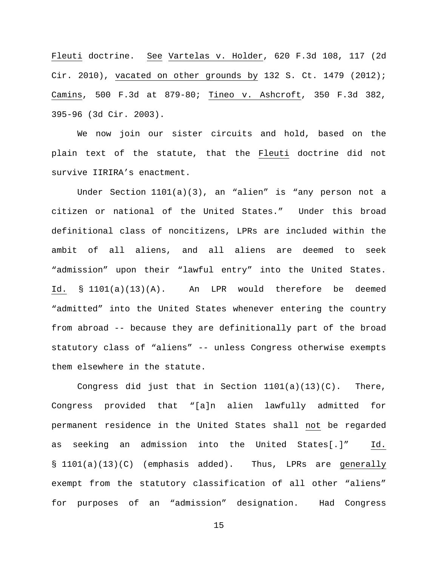Fleuti doctrine. See Vartelas v. Holder, 620 F.3d 108, 117 (2d Cir. 2010), vacated on other grounds by 132 S. Ct. 1479 (2012); Camins, 500 F.3d at 879-80; Tineo v. Ashcroft, 350 F.3d 382, 395-96 (3d Cir. 2003).

We now join our sister circuits and hold, based on the plain text of the statute, that the Fleuti doctrine did not survive IIRIRA's enactment.

Under Section 1101(a)(3), an "alien" is "any person not a citizen or national of the United States." Under this broad definitional class of noncitizens, LPRs are included within the ambit of all aliens, and all aliens are deemed to seek "admission" upon their "lawful entry" into the United States. Id. § 1101(a)(13)(A). An LPR would therefore be deemed "admitted" into the United States whenever entering the country from abroad -- because they are definitionally part of the broad statutory class of "aliens" -- unless Congress otherwise exempts them elsewhere in the statute.

Congress did just that in Section  $1101(a)(13)(C)$ . There, Congress provided that "[a]n alien lawfully admitted for permanent residence in the United States shall not be regarded as seeking an admission into the United States[.]" Id. § 1101(a)(13)(C) (emphasis added). Thus, LPRs are generally exempt from the statutory classification of all other "aliens" for purposes of an "admission" designation. Had Congress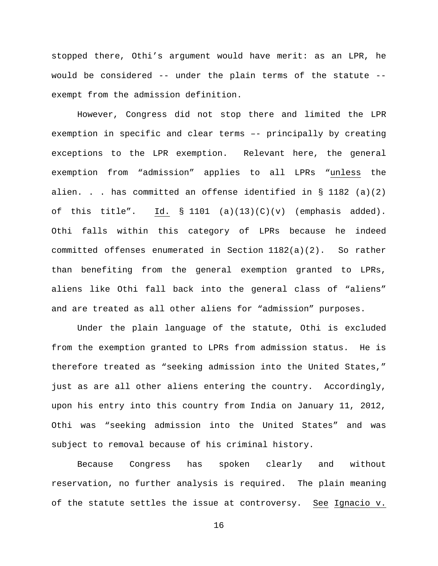stopped there, Othi's argument would have merit: as an LPR, he would be considered -- under the plain terms of the statute - exempt from the admission definition.

However, Congress did not stop there and limited the LPR exemption in specific and clear terms –- principally by creating exceptions to the LPR exemption. Relevant here, the general exemption from "admission" applies to all LPRs "unless the alien. . . has committed an offense identified in  $\S$  1182 (a)(2) of this title". Id.  $\S$  1101 (a)(13)(C)(v) (emphasis added). Othi falls within this category of LPRs because he indeed committed offenses enumerated in Section 1182(a)(2). So rather than benefiting from the general exemption granted to LPRs, aliens like Othi fall back into the general class of "aliens" and are treated as all other aliens for "admission" purposes.

Under the plain language of the statute, Othi is excluded from the exemption granted to LPRs from admission status. He is therefore treated as "seeking admission into the United States," just as are all other aliens entering the country. Accordingly, upon his entry into this country from India on January 11, 2012, Othi was "seeking admission into the United States" and was subject to removal because of his criminal history.

Because Congress has spoken clearly and without reservation, no further analysis is required. The plain meaning of the statute settles the issue at controversy. See Ignacio v.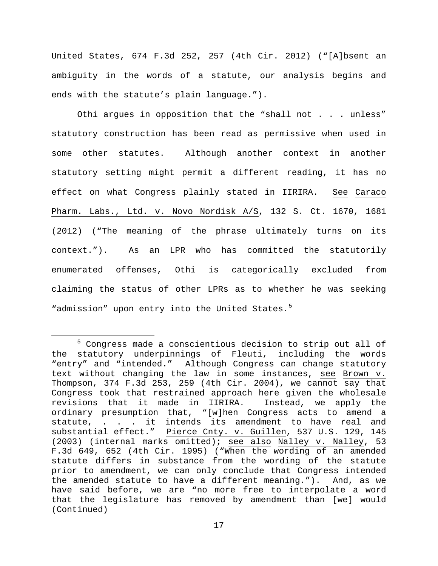United States, 674 F.3d 252, 257 (4th Cir. 2012) ("[A]bsent an ambiguity in the words of a statute, our analysis begins and ends with the statute's plain language.").

Othi argues in opposition that the "shall not . . . unless" statutory construction has been read as permissive when used in some other statutes. Although another context in another statutory setting might permit a different reading, it has no effect on what Congress plainly stated in IIRIRA. See Caraco Pharm. Labs., Ltd. v. Novo Nordisk A/S, 132 S. Ct. 1670, 1681 (2012) ("The meaning of the phrase ultimately turns on its context."). As an LPR who has committed the statutorily enumerated offenses, Othi is categorically excluded from claiming the status of other LPRs as to whether he was seeking "admission" upon entry into the United States.<sup>[5](#page-16-0)</sup>

<span id="page-16-0"></span> <sup>5</sup> Congress made a conscientious decision to strip out all of the statutory underpinnings of Fleuti, including the words "entry" and "intended." Although Congress can change statutory text without changing the law in some instances, see Brown v. Thompson, 374 F.3d 253, 259 (4th Cir. 2004), we cannot say that Congress took that restrained approach here given the wholesale<br>revisions that it made in IIRIRA. Instead, we apply the revisions that it made in IIRIRA. ordinary presumption that, "[w]hen Congress acts to amend a statute, . . . it intends its amendment to have real and substantial effect." Pierce Cnty. v. Guillen, 537 U.S. 129, 145 (2003) (internal marks omitted); see also Nalley v. Nalley, 53 F.3d 649, 652 (4th Cir. 1995) ("When the wording of an amended statute differs in substance from the wording of the statute prior to amendment, we can only conclude that Congress intended the amended statute to have a different meaning."). And, as we have said before, we are "no more free to interpolate a word that the legislature has removed by amendment than [we] would (Continued)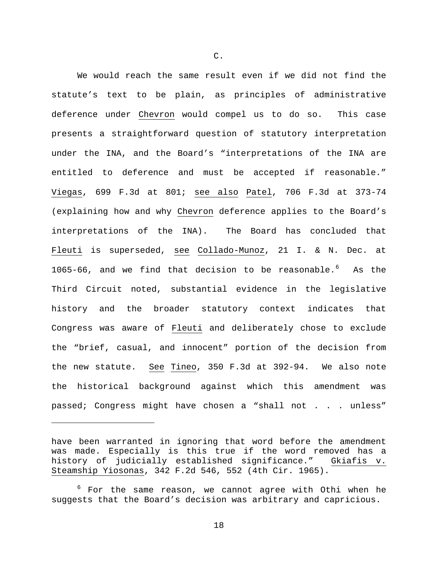We would reach the same result even if we did not find the statute's text to be plain, as principles of administrative deference under Chevron would compel us to do so. This case presents a straightforward question of statutory interpretation under the INA, and the Board's "interpretations of the INA are entitled to deference and must be accepted if reasonable." Viegas, 699 F.3d at 801; see also Patel, 706 F.3d at 373-74 (explaining how and why Chevron deference applies to the Board's interpretations of the INA). The Board has concluded that Fleuti is superseded, see Collado-Munoz, 21 I. & N. Dec. at 10[6](#page-17-0)5-66, and we find that decision to be reasonable. $^6$  As the Third Circuit noted, substantial evidence in the legislative history and the broader statutory context indicates that Congress was aware of Fleuti and deliberately chose to exclude the "brief, casual, and innocent" portion of the decision from the new statute. See Tineo, 350 F.3d at 392-94. We also note the historical background against which this amendment was passed; Congress might have chosen a "shall not . . . unless"

Ĩ.

C.

have been warranted in ignoring that word before the amendment was made. Especially is this true if the word removed has a<br>history of judicially established significance." Gkiafis v. history of judicially established significance." Steamship Yiosonas, 342 F.2d 546, 552 (4th Cir. 1965).

<span id="page-17-0"></span> $6$  For the same reason, we cannot agree with Othi when he suggests that the Board's decision was arbitrary and capricious.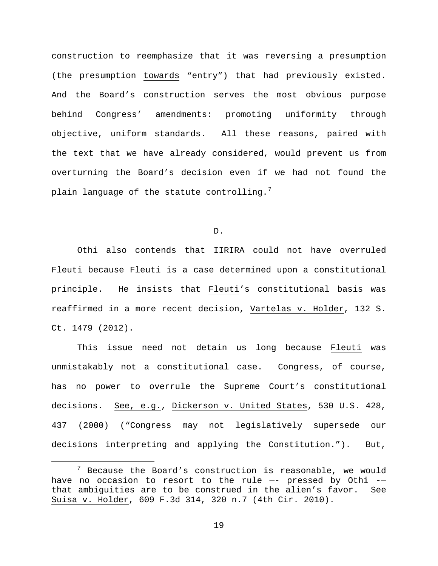construction to reemphasize that it was reversing a presumption (the presumption towards "entry") that had previously existed. And the Board's construction serves the most obvious purpose behind Congress' amendments: promoting uniformity through objective, uniform standards. All these reasons, paired with the text that we have already considered, would prevent us from overturning the Board's decision even if we had not found the plain language of the statute controlling. $^7$  $^7$ 

D.

Othi also contends that IIRIRA could not have overruled Fleuti because Fleuti is a case determined upon a constitutional principle. He insists that Fleuti's constitutional basis was reaffirmed in a more recent decision, Vartelas v. Holder, 132 S. Ct. 1479 (2012).

This issue need not detain us long because Fleuti was unmistakably not a constitutional case. Congress, of course, has no power to overrule the Supreme Court's constitutional decisions. See, e.g., Dickerson v. United States, 530 U.S. 428, 437 (2000) ("Congress may not legislatively supersede our decisions interpreting and applying the Constitution."). But,

<span id="page-18-0"></span> $7$  Because the Board's construction is reasonable, we would have no occasion to resort to the rule —- pressed by Othi - that ambiguities are to be construed in the alien's favor. See Suisa v. Holder, 609 F.3d 314, 320 n.7 (4th Cir. 2010).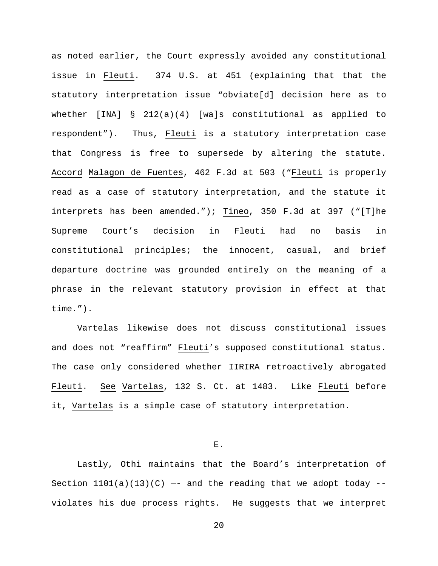as noted earlier, the Court expressly avoided any constitutional issue in Fleuti. 374 U.S. at 451 (explaining that that the statutory interpretation issue "obviate[d] decision here as to whether [INA] § 212(a)(4) [wa]s constitutional as applied to respondent"). Thus, Fleuti is a statutory interpretation case that Congress is free to supersede by altering the statute. Accord Malagon de Fuentes, 462 F.3d at 503 ("Fleuti is properly read as a case of statutory interpretation, and the statute it interprets has been amended."); Tineo, 350 F.3d at 397 ("[T]he Supreme Court's decision in Fleuti had no basis in constitutional principles; the innocent, casual, and brief departure doctrine was grounded entirely on the meaning of a phrase in the relevant statutory provision in effect at that time.").

Vartelas likewise does not discuss constitutional issues and does not "reaffirm" Fleuti's supposed constitutional status. The case only considered whether IIRIRA retroactively abrogated Fleuti. See Vartelas, 132 S. Ct. at 1483. Like Fleuti before it, Vartelas is a simple case of statutory interpretation.

E.

Lastly, Othi maintains that the Board's interpretation of Section  $1101(a)(13)(C)$  -- and the reading that we adopt today -violates his due process rights. He suggests that we interpret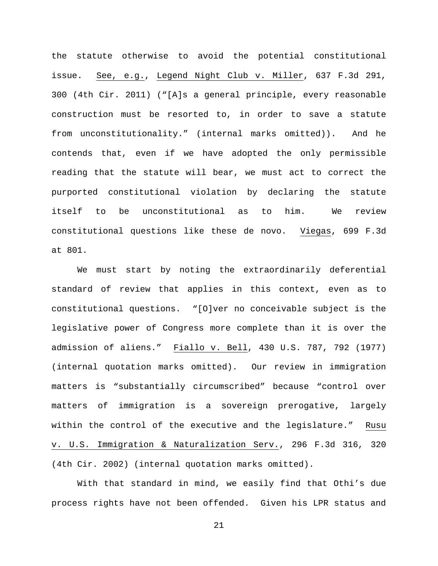the statute otherwise to avoid the potential constitutional issue. See, e.g., Legend Night Club v. Miller, 637 F.3d 291, 300 (4th Cir. 2011) ("[A]s a general principle, every reasonable construction must be resorted to, in order to save a statute from unconstitutionality." (internal marks omitted)). And he contends that, even if we have adopted the only permissible reading that the statute will bear, we must act to correct the purported constitutional violation by declaring the statute itself to be unconstitutional as to him. We review constitutional questions like these de novo. Viegas, 699 F.3d at 801.

We must start by noting the extraordinarily deferential standard of review that applies in this context, even as to constitutional questions. "[O]ver no conceivable subject is the legislative power of Congress more complete than it is over the admission of aliens." Fiallo v. Bell, 430 U.S. 787, 792 (1977) (internal quotation marks omitted). Our review in immigration matters is "substantially circumscribed" because "control over matters of immigration is a sovereign prerogative, largely within the control of the executive and the legislature." Rusu v. U.S. Immigration & Naturalization Serv., 296 F.3d 316, 320 (4th Cir. 2002) (internal quotation marks omitted).

With that standard in mind, we easily find that Othi's due process rights have not been offended. Given his LPR status and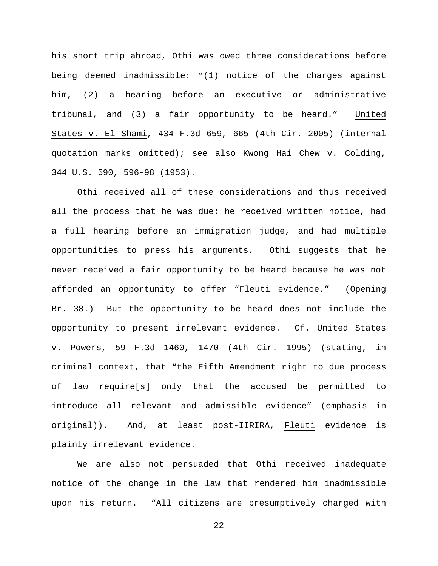his short trip abroad, Othi was owed three considerations before being deemed inadmissible: "(1) notice of the charges against him, (2) a hearing before an executive or administrative tribunal, and (3) a fair opportunity to be heard." United States v. El Shami, 434 F.3d 659, 665 (4th Cir. 2005) (internal quotation marks omitted); see also Kwong Hai Chew v. Colding, 344 U.S. 590, 596-98 (1953).

Othi received all of these considerations and thus received all the process that he was due: he received written notice, had a full hearing before an immigration judge, and had multiple opportunities to press his arguments. Othi suggests that he never received a fair opportunity to be heard because he was not afforded an opportunity to offer "Fleuti evidence." (Opening Br. 38.) But the opportunity to be heard does not include the opportunity to present irrelevant evidence. Cf. United States v. Powers, 59 F.3d 1460, 1470 (4th Cir. 1995) (stating, in criminal context, that "the Fifth Amendment right to due process of law require[s] only that the accused be permitted to introduce all relevant and admissible evidence" (emphasis in original)). And, at least post-IIRIRA, Fleuti evidence is plainly irrelevant evidence.

We are also not persuaded that Othi received inadequate notice of the change in the law that rendered him inadmissible upon his return. "All citizens are presumptively charged with